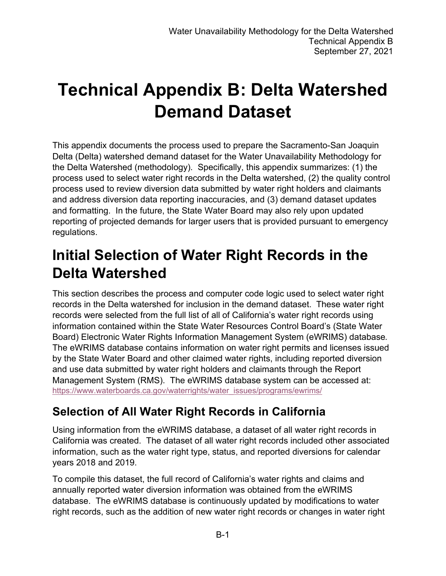# **Technical Appendix B: Delta Watershed Demand Dataset**

This appendix documents the process used to prepare the Sacramento-San Joaquin Delta (Delta) watershed demand dataset for the Water Unavailability Methodology for the Delta Watershed (methodology). Specifically, this appendix summarizes: (1) the process used to select water right records in the Delta watershed, (2) the quality control process used to review diversion data submitted by water right holders and claimants and address diversion data reporting inaccuracies, and (3) demand dataset updates and formatting. In the future, the State Water Board may also rely upon updated reporting of projected demands for larger users that is provided pursuant to emergency regulations.

## **Initial Selection of Water Right Records in the Delta Watershed**

This section describes the process and computer code logic used to select water right records in the Delta watershed for inclusion in the demand dataset. These water right records were selected from the full list of all of California's water right records using information contained within the State Water Resources Control Board's (State Water Board) Electronic Water Rights Information Management System (eWRIMS) database. The eWRIMS database contains information on water right permits and licenses issued by the State Water Board and other claimed water rights, including reported diversion and use data submitted by water right holders and claimants through the Report Management System (RMS). The eWRIMS database system can be accessed at: [https://www.waterboards.ca.gov/waterrights/water\\_issues/programs/ewrims/](https://www.waterboards.ca.gov/waterrights/water_issues/programs/ewrims/)

## **Selection of All Water Right Records in California**

Using information from the eWRIMS database, a dataset of all water right records in California was created. The dataset of all water right records included other associated information, such as the water right type, status, and reported diversions for calendar years 2018 and 2019.

To compile this dataset, the full record of California's water rights and claims and annually reported water diversion information was obtained from the eWRIMS database. The eWRIMS database is continuously updated by modifications to water right records, such as the addition of new water right records or changes in water right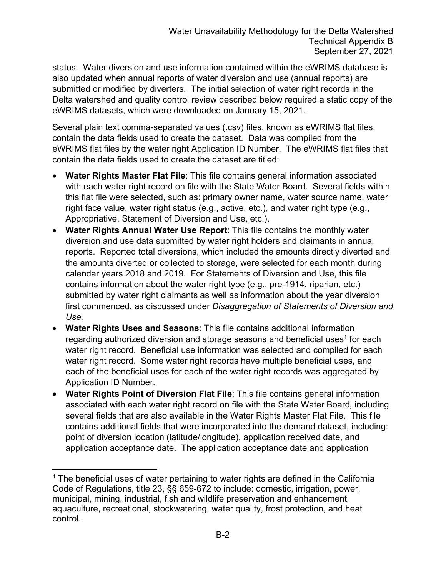status. Water diversion and use information contained within the eWRIMS database is also updated when annual reports of water diversion and use (annual reports) are submitted or modified by diverters. The initial selection of water right records in the Delta watershed and quality control review described below required a static copy of the eWRIMS datasets, which were downloaded on January 15, 2021.

Several plain text comma-separated values (.csv) files, known as eWRIMS flat files, contain the data fields used to create the dataset. Data was compiled from the eWRIMS flat files by the water right Application ID Number. The eWRIMS flat files that contain the data fields used to create the dataset are titled:

- · **Water Rights Master Flat File**: This file contains general information associated with each water right record on file with the State Water Board. Several fields within this flat file were selected, such as: primary owner name, water source name, water right face value, water right status (e.g., active, etc.), and water right type (e.g., Appropriative, Statement of Diversion and Use, etc.).
- · **Water Rights Annual Water Use Report**: This file contains the monthly water diversion and use data submitted by water right holders and claimants in annual reports. Reported total diversions, which included the amounts directly diverted and the amounts diverted or collected to storage, were selected for each month during calendar years 2018 and 2019. For Statements of Diversion and Use, this file contains information about the water right type (e.g., pre-1914, riparian, etc.) submitted by water right claimants as well as information about the year diversion first commenced, as discussed under *Disaggregation of Statements of Diversion and Use.*
- · **Water Rights Uses and Seasons**: This file contains additional information regarding authorized diversion and storage seasons and beneficial uses $^{\rm 1}$  $^{\rm 1}$  $^{\rm 1}$  for each water right record. Beneficial use information was selected and compiled for each water right record. Some water right records have multiple beneficial uses, and each of the beneficial uses for each of the water right records was aggregated by Application ID Number.
- · **Water Rights Point of Diversion Flat File**: This file contains general information associated with each water right record on file with the State Water Board, including several fields that are also available in the Water Rights Master Flat File. This file contains additional fields that were incorporated into the demand dataset, including: point of diversion location (latitude/longitude), application received date, and application acceptance date. The application acceptance date and application

<span id="page-1-0"></span> $1$  The beneficial uses of water pertaining to water rights are defined in the California Code of Regulations, title 23, §§ 659-672 to include: domestic, irrigation, power, municipal, mining, industrial, fish and wildlife preservation and enhancement, aquaculture, recreational, stockwatering, water quality, frost protection, and heat control.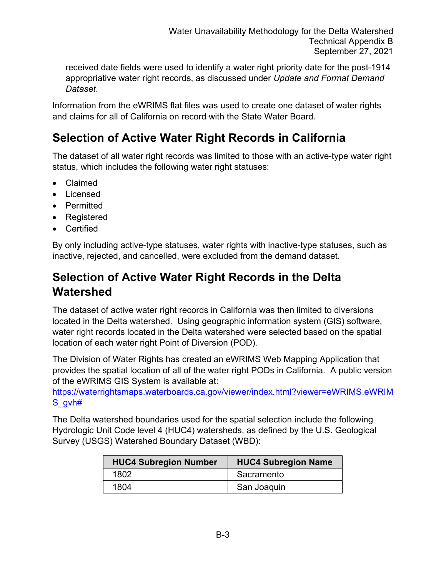received date fields were used to identify a water right priority date for the post-1914 appropriative water right records, as discussed under *Update and Format Demand Dataset*.

Information from the eWRIMS flat files was used to create one dataset of water rights and claims for all of California on record with the State Water Board.

### **Selection of Active Water Right Records in California**

The dataset of all water right records was limited to those with an active-type water right status, which includes the following water right statuses:

- · Claimed
- · Licensed
- · Permitted
- · Registered
- · Certified

By only including active-type statuses, water rights with inactive-type statuses, such as inactive, rejected, and cancelled, were excluded from the demand dataset.

#### **Selection of Active Water Right Records in the Delta Watershed**

The dataset of active water right records in California was then limited to diversions located in the Delta watershed. Using geographic information system (GIS) software, water right records located in the Delta watershed were selected based on the spatial location of each water right Point of Diversion (POD).

The Division of Water Rights has created an eWRIMS Web Mapping Application that provides the spatial location of all of the water right PODs in California. A public version of the eWRIMS GIS System is available at:

[https://waterrightsmaps.waterboards.ca.gov/viewer/index.html?viewer=eWRIMS.eWRIM](https://waterrightsmaps.waterboards.ca.gov/viewer/index.html?viewer=eWRIMS.eWRIMS_gvh) [S\\_gvh#](https://waterrightsmaps.waterboards.ca.gov/viewer/index.html?viewer=eWRIMS.eWRIMS_gvh)

The Delta watershed boundaries used for the spatial selection include the following Hydrologic Unit Code level 4 (HUC4) watersheds, as defined by the U.S. Geological Survey (USGS) Watershed Boundary Dataset (WBD):

| <b>HUC4 Subregion Number</b> | <b>HUC4 Subregion Name</b> |
|------------------------------|----------------------------|
| 1802                         | Sacramento                 |
| 1804                         | San Joaquin                |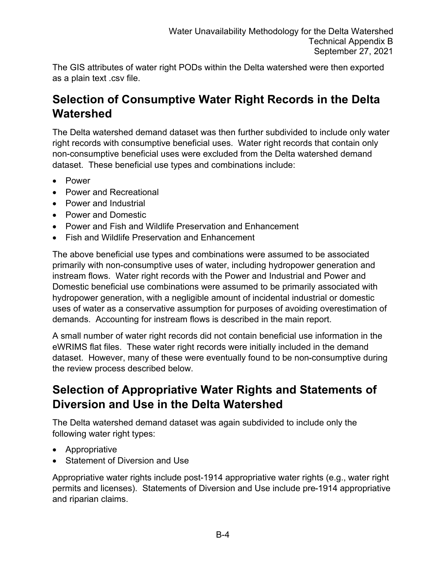The GIS attributes of water right PODs within the Delta watershed were then exported as a plain text .csv file.

### **Selection of Consumptive Water Right Records in the Delta Watershed**

The Delta watershed demand dataset was then further subdivided to include only water right records with consumptive beneficial uses. Water right records that contain only non-consumptive beneficial uses were excluded from the Delta watershed demand dataset. These beneficial use types and combinations include:

- · Power
- · Power and Recreational
- · Power and Industrial
- · Power and Domestic
- · Power and Fish and Wildlife Preservation and Enhancement
- · Fish and Wildlife Preservation and Enhancement

The above beneficial use types and combinations were assumed to be associated primarily with non-consumptive uses of water, including hydropower generation and instream flows. Water right records with the Power and Industrial and Power and Domestic beneficial use combinations were assumed to be primarily associated with hydropower generation, with a negligible amount of incidental industrial or domestic uses of water as a conservative assumption for purposes of avoiding overestimation of demands. Accounting for instream flows is described in the main report.

A small number of water right records did not contain beneficial use information in the eWRIMS flat files. These water right records were initially included in the demand dataset. However, many of these were eventually found to be non-consumptive during the review process described below.

#### **Selection of Appropriative Water Rights and Statements of Diversion and Use in the Delta Watershed**

The Delta watershed demand dataset was again subdivided to include only the following water right types:

- · Appropriative
- · Statement of Diversion and Use

Appropriative water rights include post-1914 appropriative water rights (e.g., water right permits and licenses). Statements of Diversion and Use include pre-1914 appropriative and riparian claims.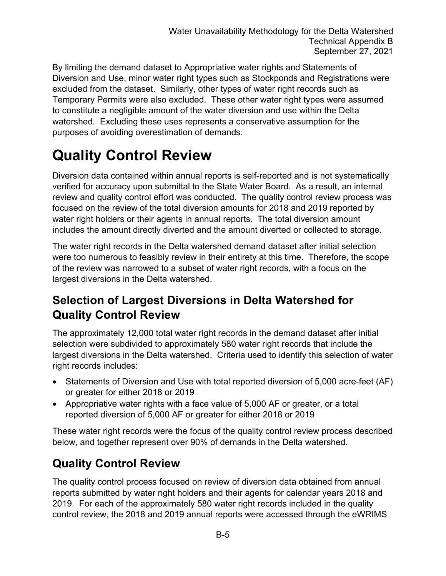By limiting the demand dataset to Appropriative water rights and Statements of Diversion and Use, minor water right types such as Stockponds and Registrations were excluded from the dataset. Similarly, other types of water right records such as Temporary Permits were also excluded. These other water right types were assumed to constitute a negligible amount of the water diversion and use within the Delta watershed. Excluding these uses represents a conservative assumption for the purposes of avoiding overestimation of demands.

## **Quality Control Review**

Diversion data contained within annual reports is self-reported and is not systematically verified for accuracy upon submittal to the State Water Board. As a result, an internal review and quality control effort was conducted. The quality control review process was focused on the review of the total diversion amounts for 2018 and 2019 reported by water right holders or their agents in annual reports. The total diversion amount includes the amount directly diverted and the amount diverted or collected to storage.

The water right records in the Delta watershed demand dataset after initial selection were too numerous to feasibly review in their entirety at this time. Therefore, the scope of the review was narrowed to a subset of water right records, with a focus on the largest diversions in the Delta watershed.

### **Selection of Largest Diversions in Delta Watershed for Quality Control Review**

The approximately 12,000 total water right records in the demand dataset after initial selection were subdivided to approximately 580 water right records that include the largest diversions in the Delta watershed. Criteria used to identify this selection of water right records includes:

- Statements of Diversion and Use with total reported diversion of 5,000 acre-feet (AF) or greater for either 2018 or 2019
- · Appropriative water rights with a face value of 5,000 AF or greater, or a total reported diversion of 5,000 AF or greater for either 2018 or 2019

These water right records were the focus of the quality control review process described below, and together represent over 90% of demands in the Delta watershed.

## **Quality Control Review**

The quality control process focused on review of diversion data obtained from annual reports submitted by water right holders and their agents for calendar years 2018 and 2019. For each of the approximately 580 water right records included in the quality control review, the 2018 and 2019 annual reports were accessed through the eWRIMS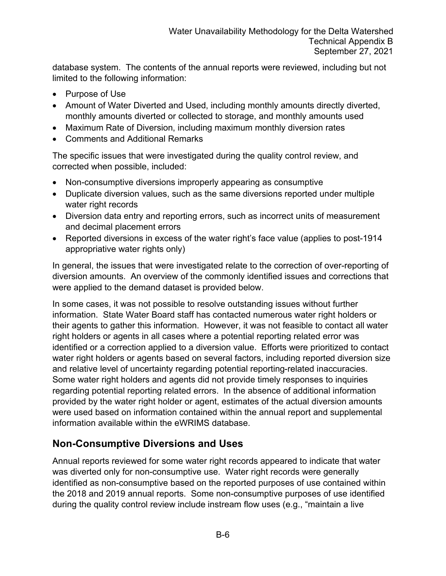database system. The contents of the annual reports were reviewed, including but not limited to the following information:

- · Purpose of Use
- · Amount of Water Diverted and Used, including monthly amounts directly diverted, monthly amounts diverted or collected to storage, and monthly amounts used
- · Maximum Rate of Diversion, including maximum monthly diversion rates
- · Comments and Additional Remarks

The specific issues that were investigated during the quality control review, and corrected when possible, included:

- · Non-consumptive diversions improperly appearing as consumptive
- · Duplicate diversion values, such as the same diversions reported under multiple water right records
- · Diversion data entry and reporting errors, such as incorrect units of measurement and decimal placement errors
- Reported diversions in excess of the water right's face value (applies to post-1914 appropriative water rights only)

In general, the issues that were investigated relate to the correction of over-reporting of diversion amounts. An overview of the commonly identified issues and corrections that were applied to the demand dataset is provided below.

In some cases, it was not possible to resolve outstanding issues without further information. State Water Board staff has contacted numerous water right holders or their agents to gather this information. However, it was not feasible to contact all water right holders or agents in all cases where a potential reporting related error was identified or a correction applied to a diversion value. Efforts were prioritized to contact water right holders or agents based on several factors, including reported diversion size and relative level of uncertainty regarding potential reporting-related inaccuracies. Some water right holders and agents did not provide timely responses to inquiries regarding potential reporting related errors. In the absence of additional information provided by the water right holder or agent, estimates of the actual diversion amounts were used based on information contained within the annual report and supplemental information available within the eWRIMS database.

#### **Non-Consumptive Diversions and Uses**

Annual reports reviewed for some water right records appeared to indicate that water was diverted only for non-consumptive use. Water right records were generally identified as non-consumptive based on the reported purposes of use contained within the 2018 and 2019 annual reports. Some non-consumptive purposes of use identified during the quality control review include instream flow uses (e.g., "maintain a live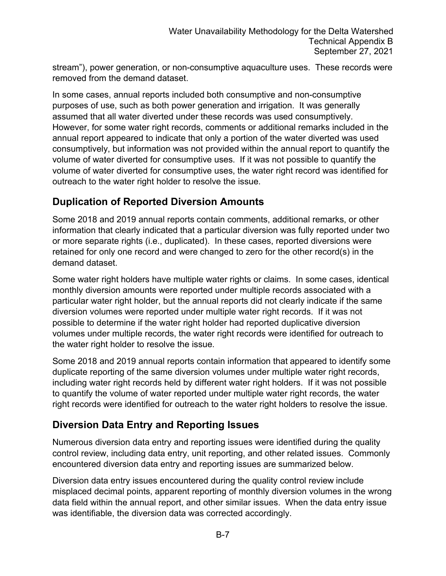stream"), power generation, or non-consumptive aquaculture uses. These records were removed from the demand dataset.

In some cases, annual reports included both consumptive and non-consumptive purposes of use, such as both power generation and irrigation. It was generally assumed that all water diverted under these records was used consumptively. However, for some water right records, comments or additional remarks included in the annual report appeared to indicate that only a portion of the water diverted was used consumptively, but information was not provided within the annual report to quantify the volume of water diverted for consumptive uses. If it was not possible to quantify the volume of water diverted for consumptive uses, the water right record was identified for outreach to the water right holder to resolve the issue.

#### **Duplication of Reported Diversion Amounts**

Some 2018 and 2019 annual reports contain comments, additional remarks, or other information that clearly indicated that a particular diversion was fully reported under two or more separate rights (i.e., duplicated). In these cases, reported diversions were retained for only one record and were changed to zero for the other record(s) in the demand dataset.

Some water right holders have multiple water rights or claims. In some cases, identical monthly diversion amounts were reported under multiple records associated with a particular water right holder, but the annual reports did not clearly indicate if the same diversion volumes were reported under multiple water right records. If it was not possible to determine if the water right holder had reported duplicative diversion volumes under multiple records, the water right records were identified for outreach to the water right holder to resolve the issue.

Some 2018 and 2019 annual reports contain information that appeared to identify some duplicate reporting of the same diversion volumes under multiple water right records, including water right records held by different water right holders. If it was not possible to quantify the volume of water reported under multiple water right records, the water right records were identified for outreach to the water right holders to resolve the issue.

#### **Diversion Data Entry and Reporting Issues**

Numerous diversion data entry and reporting issues were identified during the quality control review, including data entry, unit reporting, and other related issues. Commonly encountered diversion data entry and reporting issues are summarized below.

Diversion data entry issues encountered during the quality control review include misplaced decimal points, apparent reporting of monthly diversion volumes in the wrong data field within the annual report, and other similar issues. When the data entry issue was identifiable, the diversion data was corrected accordingly.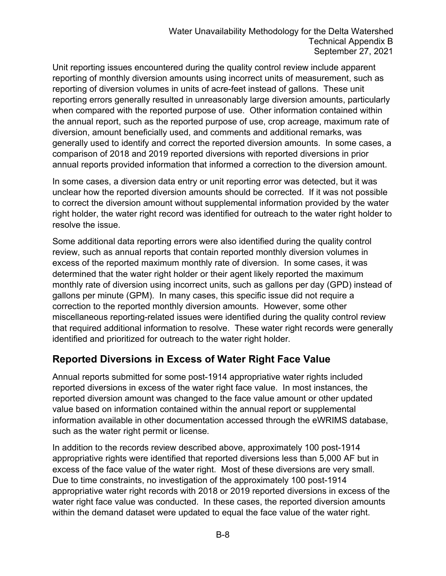Unit reporting issues encountered during the quality control review include apparent reporting of monthly diversion amounts using incorrect units of measurement, such as reporting of diversion volumes in units of acre-feet instead of gallons. These unit reporting errors generally resulted in unreasonably large diversion amounts, particularly when compared with the reported purpose of use. Other information contained within the annual report, such as the reported purpose of use, crop acreage, maximum rate of diversion, amount beneficially used, and comments and additional remarks, was generally used to identify and correct the reported diversion amounts. In some cases, a comparison of 2018 and 2019 reported diversions with reported diversions in prior annual reports provided information that informed a correction to the diversion amount.

In some cases, a diversion data entry or unit reporting error was detected, but it was unclear how the reported diversion amounts should be corrected. If it was not possible to correct the diversion amount without supplemental information provided by the water right holder, the water right record was identified for outreach to the water right holder to resolve the issue.

Some additional data reporting errors were also identified during the quality control review, such as annual reports that contain reported monthly diversion volumes in excess of the reported maximum monthly rate of diversion. In some cases, it was determined that the water right holder or their agent likely reported the maximum monthly rate of diversion using incorrect units, such as gallons per day (GPD) instead of gallons per minute (GPM). In many cases, this specific issue did not require a correction to the reported monthly diversion amounts. However, some other miscellaneous reporting-related issues were identified during the quality control review that required additional information to resolve. These water right records were generally identified and prioritized for outreach to the water right holder.

#### **Reported Diversions in Excess of Water Right Face Value**

Annual reports submitted for some post-1914 appropriative water rights included reported diversions in excess of the water right face value. In most instances, the reported diversion amount was changed to the face value amount or other updated value based on information contained within the annual report or supplemental information available in other documentation accessed through the eWRIMS database, such as the water right permit or license.

In addition to the records review described above, approximately 100 post-1914 appropriative rights were identified that reported diversions less than 5,000 AF but in excess of the face value of the water right. Most of these diversions are very small. Due to time constraints, no investigation of the approximately 100 post-1914 appropriative water right records with 2018 or 2019 reported diversions in excess of the water right face value was conducted. In these cases, the reported diversion amounts within the demand dataset were updated to equal the face value of the water right.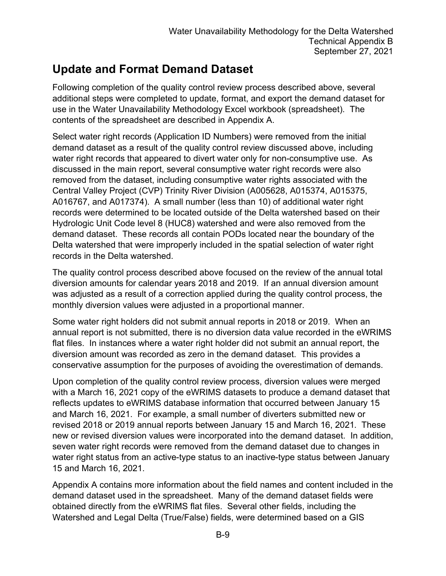## **Update and Format Demand Dataset**

Following completion of the quality control review process described above, several additional steps were completed to update, format, and export the demand dataset for use in the Water Unavailability Methodology Excel workbook (spreadsheet). The contents of the spreadsheet are described in Appendix A.

Select water right records (Application ID Numbers) were removed from the initial demand dataset as a result of the quality control review discussed above, including water right records that appeared to divert water only for non-consumptive use. As discussed in the main report, several consumptive water right records were also removed from the dataset, including consumptive water rights associated with the Central Valley Project (CVP) Trinity River Division (A005628, A015374, A015375, A016767, and A017374). A small number (less than 10) of additional water right records were determined to be located outside of the Delta watershed based on their Hydrologic Unit Code level 8 (HUC8) watershed and were also removed from the demand dataset. These records all contain PODs located near the boundary of the Delta watershed that were improperly included in the spatial selection of water right records in the Delta watershed.

The quality control process described above focused on the review of the annual total diversion amounts for calendar years 2018 and 2019. If an annual diversion amount was adjusted as a result of a correction applied during the quality control process, the monthly diversion values were adjusted in a proportional manner.

Some water right holders did not submit annual reports in 2018 or 2019. When an annual report is not submitted, there is no diversion data value recorded in the eWRIMS flat files. In instances where a water right holder did not submit an annual report, the diversion amount was recorded as zero in the demand dataset. This provides a conservative assumption for the purposes of avoiding the overestimation of demands.

Upon completion of the quality control review process, diversion values were merged with a March 16, 2021 copy of the eWRIMS datasets to produce a demand dataset that reflects updates to eWRIMS database information that occurred between January 15 and March 16, 2021. For example, a small number of diverters submitted new or revised 2018 or 2019 annual reports between January 15 and March 16, 2021. These new or revised diversion values were incorporated into the demand dataset. In addition, seven water right records were removed from the demand dataset due to changes in water right status from an active-type status to an inactive-type status between January 15 and March 16, 2021.

Appendix A contains more information about the field names and content included in the demand dataset used in the spreadsheet. Many of the demand dataset fields were obtained directly from the eWRIMS flat files. Several other fields, including the Watershed and Legal Delta (True/False) fields, were determined based on a GIS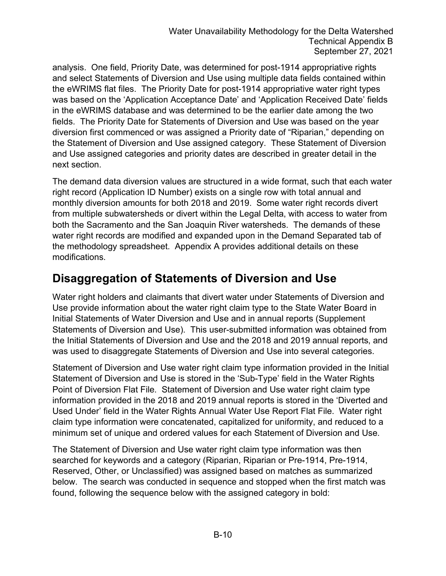analysis. One field, Priority Date, was determined for post-1914 appropriative rights and select Statements of Diversion and Use using multiple data fields contained within the eWRIMS flat files. The Priority Date for post-1914 appropriative water right types was based on the 'Application Acceptance Date' and 'Application Received Date' fields in the eWRIMS database and was determined to be the earlier date among the two fields. The Priority Date for Statements of Diversion and Use was based on the year diversion first commenced or was assigned a Priority date of "Riparian," depending on the Statement of Diversion and Use assigned category. These Statement of Diversion and Use assigned categories and priority dates are described in greater detail in the next section.

The demand data diversion values are structured in a wide format, such that each water right record (Application ID Number) exists on a single row with total annual and monthly diversion amounts for both 2018 and 2019. Some water right records divert from multiple subwatersheds or divert within the Legal Delta, with access to water from both the Sacramento and the San Joaquin River watersheds. The demands of these water right records are modified and expanded upon in the Demand Separated tab of the methodology spreadsheet. Appendix A provides additional details on these modifications.

#### **Disaggregation of Statements of Diversion and Use**

Water right holders and claimants that divert water under Statements of Diversion and Use provide information about the water right claim type to the State Water Board in Initial Statements of Water Diversion and Use and in annual reports (Supplement Statements of Diversion and Use). This user-submitted information was obtained from the Initial Statements of Diversion and Use and the 2018 and 2019 annual reports, and was used to disaggregate Statements of Diversion and Use into several categories.

Statement of Diversion and Use water right claim type information provided in the Initial Statement of Diversion and Use is stored in the 'Sub-Type' field in the Water Rights Point of Diversion Flat File. Statement of Diversion and Use water right claim type information provided in the 2018 and 2019 annual reports is stored in the 'Diverted and Used Under' field in the Water Rights Annual Water Use Report Flat File. Water right claim type information were concatenated, capitalized for uniformity, and reduced to a minimum set of unique and ordered values for each Statement of Diversion and Use.

The Statement of Diversion and Use water right claim type information was then searched for keywords and a category (Riparian, Riparian or Pre-1914, Pre-1914, Reserved, Other, or Unclassified) was assigned based on matches as summarized below. The search was conducted in sequence and stopped when the first match was found, following the sequence below with the assigned category in bold: